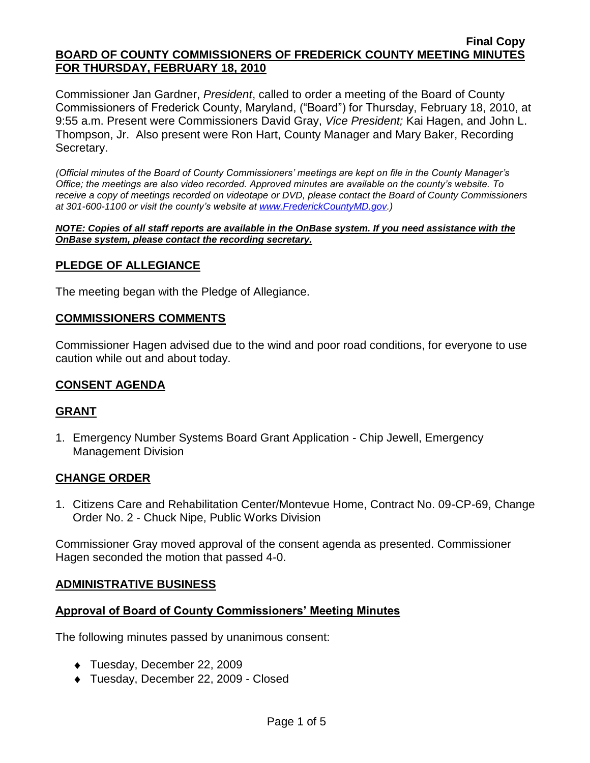Commissioner Jan Gardner, *President*, called to order a meeting of the Board of County Commissioners of Frederick County, Maryland, ("Board") for Thursday, February 18, 2010, at 9:55 a.m. Present were Commissioners David Gray, *Vice President;* Kai Hagen, and John L. Thompson, Jr. Also present were Ron Hart, County Manager and Mary Baker, Recording Secretary.

*(Official minutes of the Board of County Commissioners' meetings are kept on file in the County Manager's Office; the meetings are also video recorded. Approved minutes are available on the county's website. To receive a copy of meetings recorded on videotape or DVD, please contact the Board of County Commissioners at 301-600-1100 or visit the county's website at [www.FrederickCountyMD.gov.](http://www.frederickcountymd.gov/))*

*NOTE: Copies of all staff reports are available in the OnBase system. If you need assistance with the OnBase system, please contact the recording secretary.*

### **PLEDGE OF ALLEGIANCE**

The meeting began with the Pledge of Allegiance.

#### **COMMISSIONERS COMMENTS**

Commissioner Hagen advised due to the wind and poor road conditions, for everyone to use caution while out and about today.

#### **CONSENT AGENDA**

#### **GRANT**

1. Emergency Number Systems Board Grant Application - Chip Jewell, Emergency Management Division

#### **CHANGE ORDER**

1. Citizens Care and Rehabilitation Center/Montevue Home, Contract No. 09-CP-69, Change Order No. 2 - Chuck Nipe, Public Works Division

Commissioner Gray moved approval of the consent agenda as presented. Commissioner Hagen seconded the motion that passed 4-0.

#### **ADMINISTRATIVE BUSINESS**

#### **Approval of Board of County Commissioners' Meeting Minutes**

The following minutes passed by unanimous consent:

- Tuesday, December 22, 2009
- Tuesday, December 22, 2009 Closed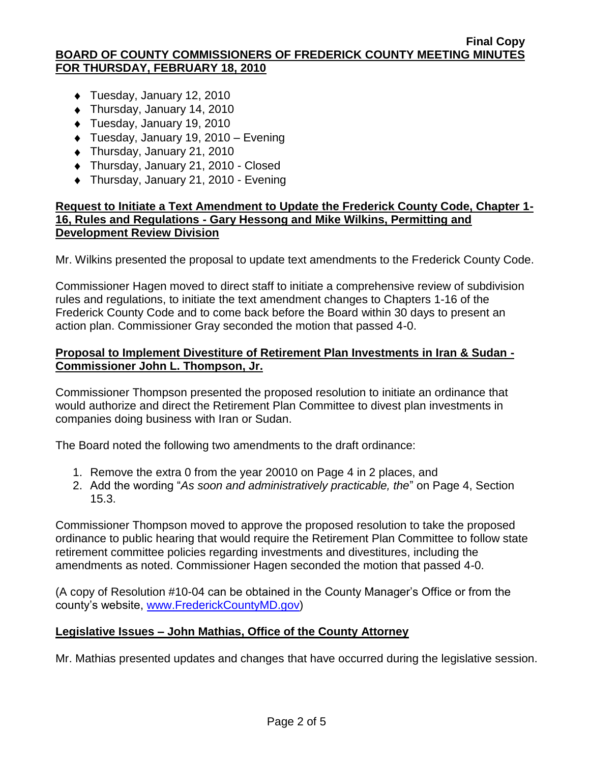- ◆ Tuesday, January 12, 2010
- Thursday, January 14, 2010
- ◆ Tuesday, January 19, 2010
- ◆ Tuesday, January 19, 2010 Evening
- Thursday, January 21, 2010
- ◆ Thursday, January 21, 2010 Closed
- ◆ Thursday, January 21, 2010 Evening

### **Request to Initiate a Text Amendment to Update the Frederick County Code, Chapter 1- 16, Rules and Regulations - Gary Hessong and Mike Wilkins, Permitting and Development Review Division**

Mr. Wilkins presented the proposal to update text amendments to the Frederick County Code.

Commissioner Hagen moved to direct staff to initiate a comprehensive review of subdivision rules and regulations, to initiate the text amendment changes to Chapters 1-16 of the Frederick County Code and to come back before the Board within 30 days to present an action plan. Commissioner Gray seconded the motion that passed 4-0.

### **Proposal to Implement Divestiture of Retirement Plan Investments in Iran & Sudan - Commissioner John L. Thompson, Jr.**

Commissioner Thompson presented the proposed resolution to initiate an ordinance that would authorize and direct the Retirement Plan Committee to divest plan investments in companies doing business with Iran or Sudan.

The Board noted the following two amendments to the draft ordinance:

- 1. Remove the extra 0 from the year 20010 on Page 4 in 2 places, and
- 2. Add the wording "*As soon and administratively practicable, the*" on Page 4, Section 15.3.

Commissioner Thompson moved to approve the proposed resolution to take the proposed ordinance to public hearing that would require the Retirement Plan Committee to follow state retirement committee policies regarding investments and divestitures, including the amendments as noted. Commissioner Hagen seconded the motion that passed 4-0.

(A copy of Resolution #10-04 can be obtained in the County Manager's Office or from the county's website, [www.FrederickCountyMD.gov\)](http://www.frederickcountymd.gov/)

### **Legislative Issues – John Mathias, Office of the County Attorney**

Mr. Mathias presented updates and changes that have occurred during the legislative session.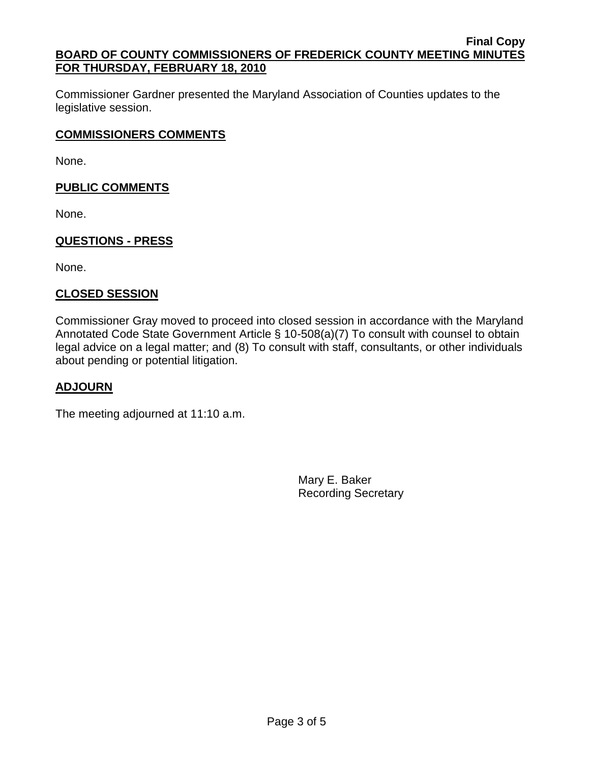Commissioner Gardner presented the Maryland Association of Counties updates to the legislative session.

# **COMMISSIONERS COMMENTS**

None.

### **PUBLIC COMMENTS**

None.

# **QUESTIONS - PRESS**

None.

# **CLOSED SESSION**

Commissioner Gray moved to proceed into closed session in accordance with the Maryland Annotated Code State Government Article § 10-508(a)(7) To consult with counsel to obtain legal advice on a legal matter; and (8) To consult with staff, consultants, or other individuals about pending or potential litigation.

### **ADJOURN**

The meeting adjourned at 11:10 a.m.

Mary E. Baker Recording Secretary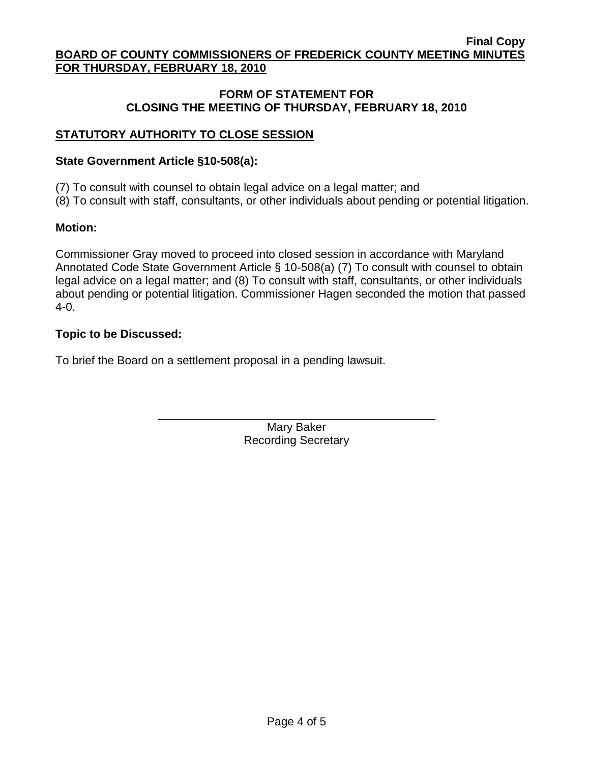### **FORM OF STATEMENT FOR CLOSING THE MEETING OF THURSDAY, FEBRUARY 18, 2010**

# **STATUTORY AUTHORITY TO CLOSE SESSION**

### **State Government Article §10-508(a):**

(7) To consult with counsel to obtain legal advice on a legal matter; and

(8) To consult with staff, consultants, or other individuals about pending or potential litigation.

### **Motion:**

Commissioner Gray moved to proceed into closed session in accordance with Maryland Annotated Code State Government Article § 10-508(a) (7) To consult with counsel to obtain legal advice on a legal matter; and (8) To consult with staff, consultants, or other individuals about pending or potential litigation. Commissioner Hagen seconded the motion that passed 4-0.

### **Topic to be Discussed:**

To brief the Board on a settlement proposal in a pending lawsuit.

Mary Baker Recording Secretary